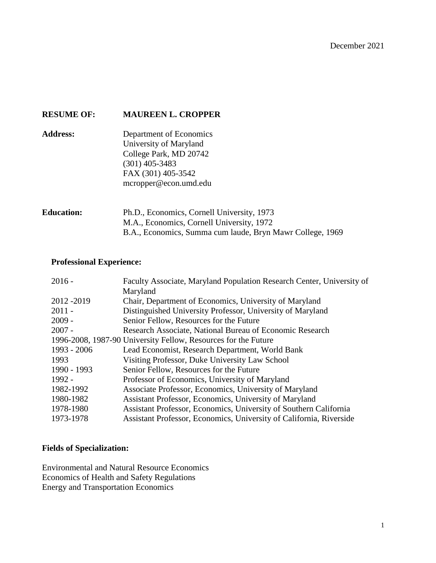# **RESUME OF: MAUREEN L. CROPPER**

**Address:** Department of Economics University of Maryland College Park, MD 20742 (301) 405-3483 FAX (301) 405-3542 mcropper@econ.umd.edu

# **Education:** Ph.D., Economics, Cornell University, 1973 M.A., Economics, Cornell University, 1972 B.A., Economics, Summa cum laude, Bryn Mawr College, 1969

#### **Professional Experience:**

| $2016 -$    | Faculty Associate, Maryland Population Research Center, University of |
|-------------|-----------------------------------------------------------------------|
|             | Maryland                                                              |
| 2012-2019   | Chair, Department of Economics, University of Maryland                |
| $2011 -$    | Distinguished University Professor, University of Maryland            |
| $2009 -$    | Senior Fellow, Resources for the Future                               |
| $2007 -$    | Research Associate, National Bureau of Economic Research              |
|             | 1996-2008, 1987-90 University Fellow, Resources for the Future        |
| 1993 - 2006 | Lead Economist, Research Department, World Bank                       |
| 1993        | Visiting Professor, Duke University Law School                        |
| 1990 - 1993 | Senior Fellow, Resources for the Future                               |
| 1992 -      | Professor of Economics, University of Maryland                        |
| 1982-1992   | Associate Professor, Economics, University of Maryland                |
| 1980-1982   | Assistant Professor, Economics, University of Maryland                |
| 1978-1980   | Assistant Professor, Economics, University of Southern California     |
| 1973-1978   | Assistant Professor, Economics, University of California, Riverside   |

## **Fields of Specialization:**

Environmental and Natural Resource Economics Economics of Health and Safety Regulations Energy and Transportation Economics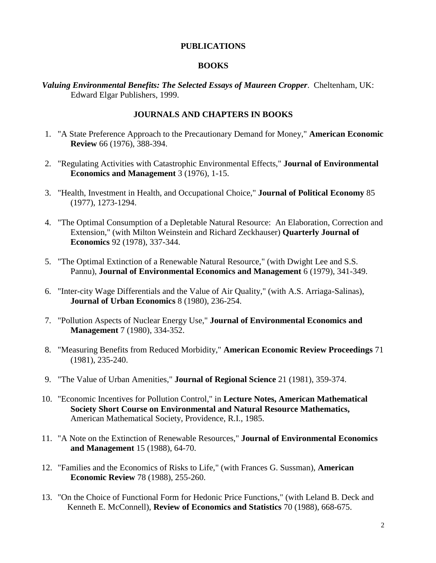#### **PUBLICATIONS**

## **BOOKS**

*Valuing Environmental Benefits: The Selected Essays of Maureen Cropper*. Cheltenham, UK: Edward Elgar Publishers, 1999.

## **JOURNALS AND CHAPTERS IN BOOKS**

- 1. "A State Preference Approach to the Precautionary Demand for Money," **American Economic Review** 66 (1976), 388-394.
- 2. "Regulating Activities with Catastrophic Environmental Effects," **Journal of Environmental Economics and Management** 3 (1976), 1-15.
- 3. "Health, Investment in Health, and Occupational Choice," **Journal of Political Economy** 85 (1977), 1273-1294.
- 4. "The Optimal Consumption of a Depletable Natural Resource: An Elaboration, Correction and Extension," (with Milton Weinstein and Richard Zeckhauser) **Quarterly Journal of Economics** 92 (1978), 337-344.
- 5. "The Optimal Extinction of a Renewable Natural Resource," (with Dwight Lee and S.S. Pannu), **Journal of Environmental Economics and Management** 6 (1979), 341-349.
- 6. "Inter-city Wage Differentials and the Value of Air Quality," (with A.S. Arriaga-Salinas), **Journal of Urban Economics** 8 (1980), 236-254.
- 7. "Pollution Aspects of Nuclear Energy Use," **Journal of Environmental Economics and Management** 7 (1980), 334-352.
- 8. "Measuring Benefits from Reduced Morbidity," **American Economic Review Proceedings** 71 (1981), 235-240.
- 9. "The Value of Urban Amenities," **Journal of Regional Science** 21 (1981), 359-374.
- 10. "Economic Incentives for Pollution Control," in **Lecture Notes, American Mathematical Society Short Course on Environmental and Natural Resource Mathematics,** American Mathematical Society, Providence, R.I., 1985.
- 11. "A Note on the Extinction of Renewable Resources," **Journal of Environmental Economics and Management** 15 (1988), 64-70.
- 12. "Families and the Economics of Risks to Life," (with Frances G. Sussman), **American Economic Review** 78 (1988), 255-260.
- 13. "On the Choice of Functional Form for Hedonic Price Functions," (with Leland B. Deck and Kenneth E. McConnell), **Review of Economics and Statistics** 70 (1988), 668-675.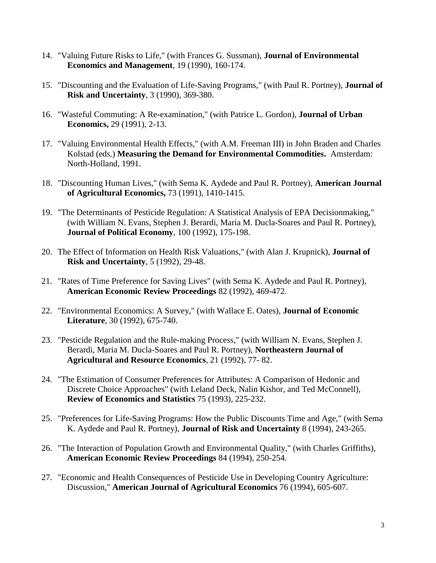- 14. "Valuing Future Risks to Life," (with Frances G. Sussman), **Journal of Environmental Economics and Management**, 19 (1990), 160-174.
- 15. "Discounting and the Evaluation of Life-Saving Programs," (with Paul R. Portney), **Journal of Risk and Uncertainty**, 3 (1990), 369-380.
- 16. "Wasteful Commuting: A Re-examination," (with Patrice L. Gordon), **Journal of Urban Economics,** 29 (1991), 2-13.
- 17. "Valuing Environmental Health Effects," (with A.M. Freeman III) in John Braden and Charles Kolstad (eds.) **Measuring the Demand for Environmental Commodities.** Amsterdam: North-Holland, 1991.
- 18. "Discounting Human Lives," (with Sema K. Aydede and Paul R. Portney), **American Journal of Agricultural Economics,** 73 (1991), 1410-1415.
- 19. "The Determinants of Pesticide Regulation: A Statistical Analysis of EPA Decisionmaking," (with William N. Evans, Stephen J. Berardi, Maria M. Ducla-Soares and Paul R. Portney), **Journal of Political Economy**, 100 (1992), 175-198.
- 20. The Effect of Information on Health Risk Valuations," (with Alan J. Krupnick), **Journal of Risk and Uncertainty**, 5 (1992), 29-48.
- 21. "Rates of Time Preference for Saving Lives" (with Sema K. Aydede and Paul R. Portney), **American Economic Review Proceedings** 82 (1992), 469-472.
- 22. "Environmental Economics: A Survey," (with Wallace E. Oates), **Journal of Economic Literature**, 30 (1992), 675-740.
- 23. "Pesticide Regulation and the Rule-making Process," (with William N. Evans, Stephen J. Berardi, Maria M. Ducla-Soares and Paul R. Portney), **Northeastern Journal of Agricultural and Resource Economics**, 21 (1992), 77- 82.
- 24. "The Estimation of Consumer Preferences for Attributes: A Comparison of Hedonic and Discrete Choice Approaches" (with Leland Deck, Nalin Kishor, and Ted McConnell), **Review of Economics and Statistics** 75 (1993), 225-232.
- 25. "Preferences for Life-Saving Programs: How the Public Discounts Time and Age," (with Sema K. Aydede and Paul R. Portney), **Journal of Risk and Uncertainty** 8 (1994), 243-265.
- 26. "The Interaction of Population Growth and Environmental Quality," (with Charles Griffiths), **American Economic Review Proceedings** 84 (1994), 250-254.
- 27. "Economic and Health Consequences of Pesticide Use in Developing Country Agriculture: Discussion," **American Journal of Agricultural Economics** 76 (1994), 605-607.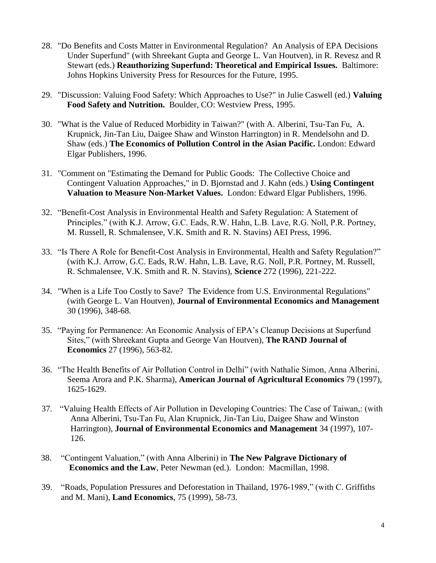- 28. "Do Benefits and Costs Matter in Environmental Regulation? An Analysis of EPA Decisions Under Superfund" (with Shreekant Gupta and George L. Van Houtven), in R. Revesz and R Stewart (eds.) **Reauthorizing Superfund: Theoretical and Empirical Issues.** Baltimore: Johns Hopkins University Press for Resources for the Future, 1995.
- 29. "Discussion: Valuing Food Safety: Which Approaches to Use?" in Julie Caswell (ed.) **Valuing Food Safety and Nutrition.** Boulder, CO: Westview Press, 1995.
- 30. "What is the Value of Reduced Morbidity in Taiwan?" (with A. Alberini, Tsu-Tan Fu, A. Krupnick, Jin-Tan Liu, Daigee Shaw and Winston Harrington) in R. Mendelsohn and D. Shaw (eds.) **The Economics of Pollution Control in the Asian Pacific.** London: Edward Elgar Publishers, 1996.
- 31. "Comment on "Estimating the Demand for Public Goods: The Collective Choice and Contingent Valuation Approaches," in D. Bjornstad and J. Kahn (eds.) **Using Contingent Valuation to Measure Non-Market Values.** London: Edward Elgar Publishers, 1996.
- 32. "Benefit-Cost Analysis in Environmental Health and Safety Regulation: A Statement of Principles." (with K.J. Arrow, G.C. Eads, R.W. Hahn, L.B. Lave, R.G. Noll, P.R. Portney, M. Russell, R. Schmalensee, V.K. Smith and R. N. Stavins) AEI Press, 1996.
- 33. "Is There A Role for Benefit-Cost Analysis in Environmental, Health and Safety Regulation?" (with K.J. Arrow, G.C. Eads, R.W. Hahn, L.B. Lave, R.G. Noll, P.R. Portney, M. Russell, R. Schmalensee, V.K. Smith and R. N. Stavins), **Science** 272 (1996), 221-222.
- 34. "When is a Life Too Costly to Save? The Evidence from U.S. Environmental Regulations" (with George L. Van Houtven), **Journal of Environmental Economics and Management**  30 (1996), 348-68.
- 35. "Paying for Permanence: An Economic Analysis of EPA's Cleanup Decisions at Superfund Sites," (with Shreekant Gupta and George Van Houtven), **The RAND Journal of Economics** 27 (1996), 563-82.
- 36. "The Health Benefits of Air Pollution Control in Delhi" (with Nathalie Simon, Anna Alberini, Seema Arora and P.K. Sharma), **American Journal of Agricultural Economics** 79 (1997), 1625-1629.
- 37. "Valuing Health Effects of Air Pollution in Developing Countries: The Case of Taiwan,: (with Anna Alberini, Tsu-Tan Fu, Alan Krupnick, Jin-Tan Liu, Daigee Shaw and Winston Harrington), **Journal of Environmental Economics and Management** 34 (1997), 107- 126.
- 38. "Contingent Valuation," (with Anna Alberini) in **The New Palgrave Dictionary of Economics and the Law**, Peter Newman (ed.). London: Macmillan, 1998.
- 39. "Roads, Population Pressures and Deforestation in Thailand, 1976-1989," (with C. Griffiths and M. Mani), **Land Economics**, 75 (1999), 58-73.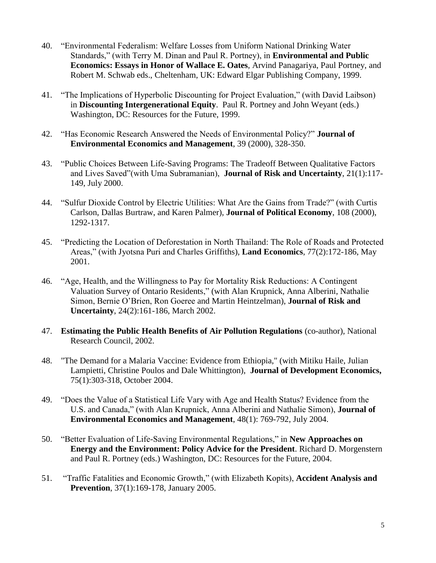- 40. "Environmental Federalism: Welfare Losses from Uniform National Drinking Water Standards," (with Terry M. Dinan and Paul R. Portney), in **Environmental and Public Economics: Essays in Honor of Wallace E. Oates**, Arvind Panagariya, Paul Portney, and Robert M. Schwab eds., Cheltenham, UK: Edward Elgar Publishing Company, 1999.
- 41. "The Implications of Hyperbolic Discounting for Project Evaluation," (with David Laibson) in **Discounting Intergenerational Equity**. Paul R. Portney and John Weyant (eds.) Washington, DC: Resources for the Future, 1999.
- 42. "Has Economic Research Answered the Needs of Environmental Policy?" **Journal of Environmental Economics and Management**, 39 (2000), 328-350.
- 43. "Public Choices Between Life-Saving Programs: The Tradeoff Between Qualitative Factors and Lives Saved"(with Uma Subramanian), **Journal of Risk and Uncertainty**, 21(1):117- 149, July 2000.
- 44. "Sulfur Dioxide Control by Electric Utilities: What Are the Gains from Trade?" (with Curtis Carlson, Dallas Burtraw, and Karen Palmer), **Journal of Political Economy**, 108 (2000), 1292-1317.
- 45. "Predicting the Location of Deforestation in North Thailand: The Role of Roads and Protected Areas," (with Jyotsna Puri and Charles Griffiths), **Land Economics**, 77(2):172-186, May 2001.
- 46. "Age, Health, and the Willingness to Pay for Mortality Risk Reductions: A Contingent Valuation Survey of Ontario Residents," (with Alan Krupnick, Anna Alberini, Nathalie Simon, Bernie O'Brien, Ron Goeree and Martin Heintzelman), **Journal of Risk and Uncertainty**, 24(2):161-186, March 2002.
- 47. **Estimating the Public Health Benefits of Air Pollution Regulations** (co-author), National Research Council, 2002.
- 48. "The Demand for a Malaria Vaccine: Evidence from Ethiopia," (with Mitiku Haile, Julian Lampietti, Christine Poulos and Dale Whittington), **Journal of Development Economics,**  75(1):303-318, October 2004.
- 49. "Does the Value of a Statistical Life Vary with Age and Health Status? Evidence from the U.S. and Canada," (with Alan Krupnick, Anna Alberini and Nathalie Simon), **Journal of Environmental Economics and Management**, 48(1): 769-792, July 2004.
- 50. "Better Evaluation of Life-Saving Environmental Regulations," in **New Approaches on Energy and the Environment: Policy Advice for the President**. Richard D. Morgenstern and Paul R. Portney (eds.) Washington, DC: Resources for the Future, 2004.
- 51. "Traffic Fatalities and Economic Growth," (with Elizabeth Kopits), **Accident Analysis and Prevention**, 37(1):169-178, January 2005.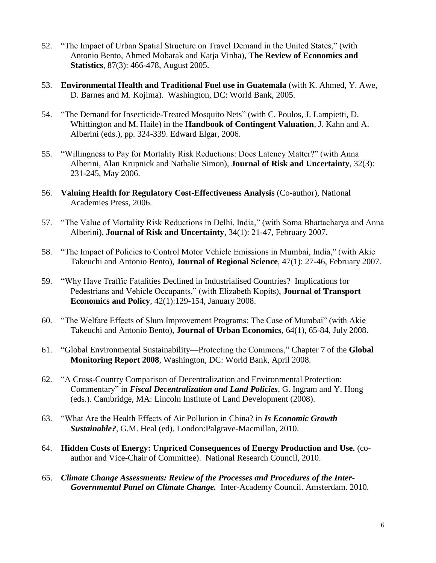- 52. "The Impact of Urban Spatial Structure on Travel Demand in the United States," (with Antonio Bento, Ahmed Mobarak and Katja Vinha), **The Review of Economics and Statistics**, 87(3): 466-478, August 2005.
- 53. **Environmental Health and Traditional Fuel use in Guatemala** (with K. Ahmed, Y. Awe, D. Barnes and M. Kojima). Washington, DC: World Bank, 2005.
- 54. "The Demand for Insecticide-Treated Mosquito Nets" (with C. Poulos, J. Lampietti, D. Whittington and M. Haile) in the **Handbook of Contingent Valuation**, J. Kahn and A. Alberini (eds.), pp. 324-339. Edward Elgar, 2006.
- 55. "Willingness to Pay for Mortality Risk Reductions: Does Latency Matter?" (with Anna Alberini, Alan Krupnick and Nathalie Simon), **Journal of Risk and Uncertainty**, 32(3): 231-245, May 2006.
- 56. **Valuing Health for Regulatory Cost-Effectiveness Analysis** (Co-author), National Academies Press, 2006.
- 57. "The Value of Mortality Risk Reductions in Delhi, India," (with Soma Bhattacharya and Anna Alberini), **Journal of Risk and Uncertainty**, 34(1): 21-47, February 2007.
- 58. "The Impact of Policies to Control Motor Vehicle Emissions in Mumbai, India," (with Akie Takeuchi and Antonio Bento), **Journal of Regional Science**, 47(1): 27-46, February 2007.
- 59. "Why Have Traffic Fatalities Declined in Industrialised Countries? Implications for Pedestrians and Vehicle Occupants," (with Elizabeth Kopits), **Journal of Transport Economics and Policy**, 42(1):129-154, January 2008.
- 60. "The Welfare Effects of Slum Improvement Programs: The Case of Mumbai" (with Akie Takeuchi and Antonio Bento), **Journal of Urban Economics**, 64(1), 65-84, July 2008.
- 61. "Global Environmental Sustainability—Protecting the Commons," Chapter 7 of the **Global Monitoring Report 2008**, Washington, DC: World Bank, April 2008.
- 62. "A Cross-Country Comparison of Decentralization and Environmental Protection: Commentary" in *Fiscal Decentralization and Land Policies*, G. Ingram and Y. Hong (eds.). Cambridge, MA: Lincoln Institute of Land Development (2008).
- 63. "What Are the Health Effects of Air Pollution in China? in *Is Economic Growth Sustainable?*, G.M. Heal (ed). London:Palgrave-Macmillan, 2010.
- 64. **Hidden Costs of Energy: Unpriced Consequences of Energy Production and Use.** (coauthor and Vice-Chair of Committee). National Research Council, 2010.
- 65. *Climate Change Assessments: Review of the Processes and Procedures of the Inter-Governmental Panel on Climate Change.* Inter-Academy Council. Amsterdam. 2010.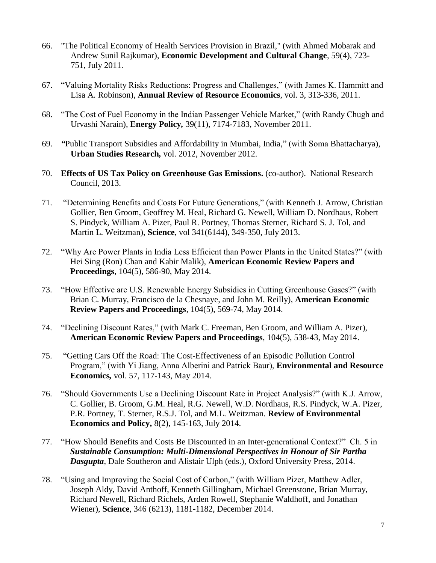- 66. "The Political Economy of Health Services Provision in Brazil," (with Ahmed Mobarak and Andrew Sunil Rajkumar), **Economic Development and Cultural Change**, 59(4), 723- 751, July 2011.
- 67. "Valuing Mortality Risks Reductions: Progress and Challenges," (with James K. Hammitt and Lisa A. Robinson), **Annual Review of Resource Economics**, vol. 3, 313-336, 2011.
- 68. "The Cost of Fuel Economy in the Indian Passenger Vehicle Market," (with Randy Chugh and Urvashi Narain), **Energy Policy***,* 39(11), 7174-7183, November 2011.
- 69. *"*Public Transport Subsidies and Affordability in Mumbai, India," (with Soma Bhattacharya), **Urban Studies Research***,* vol. 2012, November 2012.
- 70. **Effects of US Tax Policy on Greenhouse Gas Emissions.** (co-author). National Research Council, 2013.
- 71. "Determining Benefits and Costs For Future Generations," (with Kenneth J. Arrow, Christian Gollier, Ben Groom, Geoffrey M. Heal, Richard G. Newell, William D. Nordhaus, Robert S. Pindyck, William A. Pizer, Paul R. Portney, Thomas Sterner, Richard S. J. Tol, and Martin L. Weitzman), **Science**, vol 341(6144), 349-350, July 2013.
- 72. "Why Are Power Plants in India Less Efficient than Power Plants in the United States?" (with Hei Sing (Ron) Chan and Kabir Malik), **American Economic Review Papers and Proceedings**, 104(5), 586-90, May 2014.
- 73. "How Effective are U.S. Renewable Energy Subsidies in Cutting Greenhouse Gases?" (with Brian C. Murray, Francisco de la Chesnaye, and John M. Reilly), **American Economic Review Papers and Proceedings**, 104(5), 569-74, May 2014.
- 74. "Declining Discount Rates," (with Mark C. Freeman, Ben Groom, and William A. Pizer), **American Economic Review Papers and Proceedings**, 104(5), 538-43, May 2014.
- 75. "Getting Cars Off the Road: The Cost-Effectiveness of an Episodic Pollution Control Program," (with Yi Jiang, Anna Alberini and Patrick Baur), **Environmental and Resource Economics***,* vol. 57, 117-143, May 2014.
- 76. "Should Governments Use a Declining Discount Rate in Project Analysis?" (with K.J. Arrow, C. Gollier, B. Groom, G.M. Heal, R.G. Newell, W.D. Nordhaus, R.S. Pindyck, W.A. Pizer, P.R. Portney, T. Sterner, R.S.J. Tol, and M.L. Weitzman. **Review of Environmental Economics and Policy,** 8(2), 145-163, July 2014.
- 77. "How Should Benefits and Costs Be Discounted in an Inter-generational Context?" Ch. 5 in *Sustainable Consumption: Multi-Dimensional Perspectives in Honour of Sir Partha Dasgupta*, Dale Southeron and Alistair Ulph (eds.), Oxford University Press, 2014.
- 78. "Using and Improving the Social Cost of Carbon," (with William Pizer, Matthew Adler, Joseph Aldy, David Anthoff, Kenneth Gillingham, Michael Greenstone, Brian Murray, Richard Newell, Richard Richels, Arden Rowell, Stephanie Waldhoff, and Jonathan Wiener), **Science**, 346 (6213), 1181-1182, December 2014.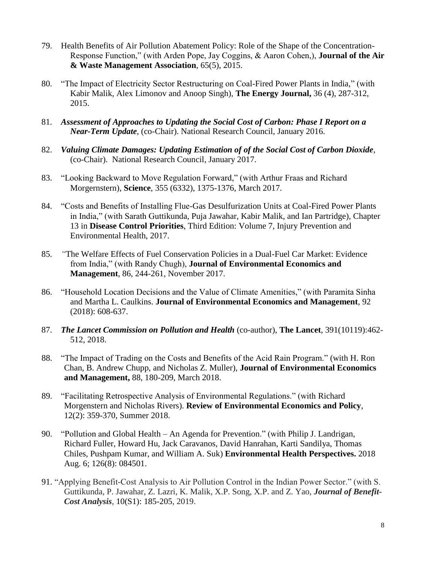- 79. Health Benefits of Air Pollution Abatement Policy: Role of the Shape of the Concentration-Response Function," (with Arden Pope, Jay Coggins, & Aaron Cohen,), **Journal of the Air & Waste Management Association**, 65(5), 2015.
- 80. "The Impact of Electricity Sector Restructuring on Coal-Fired Power Plants in India," (with Kabir Malik, Alex Limonov and Anoop Singh), **The Energy Journal,** 36 (4), 287-312, 2015.
- 81. *Assessment of Approaches to Updating the Social Cost of Carbon: Phase I Report on a Near-Term Update*, (co-Chair). National Research Council, January 2016.
- 82. *Valuing Climate Damages: Updating Estimation of of the Social Cost of Carbon Dioxide*, (co-Chair). National Research Council, January 2017.
- 83. "Looking Backward to Move Regulation Forward," (with Arthur Fraas and Richard Morgernstern), **Science**, 355 (6332), 1375-1376, March 2017.
- 84. "Costs and Benefits of Installing Flue-Gas Desulfurization Units at Coal-Fired Power Plants in India," (with Sarath Guttikunda, Puja Jawahar, Kabir Malik, and Ian Partridge), Chapter 13 in **Disease Control Priorities**, Third Edition: Volume 7, Injury Prevention and Environmental Health, 2017.
- 85. *"*The Welfare Effects of Fuel Conservation Policies in a Dual-Fuel Car Market: Evidence from India," (with Randy Chugh), **Journal of Environmental Economics and Management**, 86, 244-261, November 2017.
- 86. "Household Location Decisions and the Value of Climate Amenities," (with Paramita Sinha and Martha L. Caulkins. **Journal of Environmental Economics and Management**, 92 (2018): 608-637.
- 87. *The Lancet Commission on Pollution and Health* (co-author), **The Lancet***,* 391(10119):462- 512*,* 2018.
- 88. "The Impact of Trading on the Costs and Benefits of the Acid Rain Program." (with H. Ron Chan, B. Andrew Chupp, and Nicholas Z. Muller), **Journal of Environmental Economics and Management,** 88, 180-209, March 2018.
- 89. "Facilitating Retrospective Analysis of Environmental Regulations." (with Richard Morgenstern and Nicholas Rivers). **Review of Environmental Economics and Policy**, 12(2): 359-370, Summer 2018.
- 90. "Pollution and Global Health An Agenda for Prevention." (with Philip J. Landrigan, Richard Fuller, Howard Hu, Jack Caravanos, David Hanrahan, Karti Sandilya, Thomas Chiles, Pushpam Kumar, and William A. Suk) **Environmental Health Perspectives.** 2018 Aug. 6; 126(8): 084501.
- 91. "Applying Benefit-Cost Analysis to Air Pollution Control in the Indian Power Sector." (with S. Guttikunda, P. Jawahar, Z. Lazri, K. Malik, X.P. Song, X.P. and Z. Yao, *Journal of Benefit-Cost Analysis*, 10(S1): 185-205, 2019.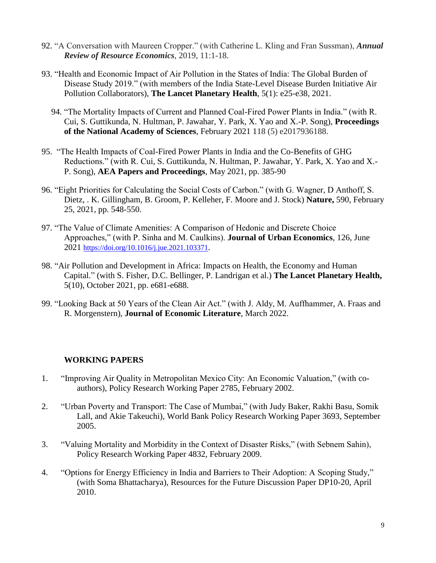- 92. "A Conversation with Maureen Cropper." (with Catherine L. Kling and Fran Sussman), *Annual Review of Resource Economics*, 2019, 11:1-18.
- 93. "Health and Economic Impact of Air Pollution in the States of India: The Global Burden of Disease Study 2019." (with members of the India State-Level Disease Burden Initiative Air Pollution Collaborators), **The Lancet Planetary Health**, 5(1): e25-e38, 2021.
	- 94. "The Mortality Impacts of Current and Planned Coal-Fired Power Plants in India." (with R. Cui, S. Guttikunda, N. Hultman, P. Jawahar, Y. Park, X. Yao and X.-P. Song), **Proceedings of the National Academy of Sciences**, February 2021 118 (5) e2017936188.
- 95. "The Health Impacts of Coal-Fired Power Plants in India and the Co-Benefits of GHG Reductions." (with R. Cui, S. Guttikunda, N. Hultman, P. Jawahar, Y. Park, X. Yao and X.- P. Song), **AEA Papers and Proceedings**, May 2021, pp. 385-90
- 96. "Eight Priorities for Calculating the Social Costs of Carbon." (with G. Wagner, D Anthoff, S. Dietz, . K. Gillingham, B. Groom, P. Kelleher, F. Moore and J. Stock) **Nature,** 590, February 25, 2021, pp. 548-550.
- 97. "The Value of Climate Amenities: A Comparison of Hedonic and Discrete Choice Approaches," (with P. Sinha and M. Caulkins). **Journal of Urban Economics**, 126, June 2021 <https://doi.org/10.1016/j.jue.2021.103371>.
- 98. "Air Pollution and Development in Africa: Impacts on Health, the Economy and Human Capital." (with S. Fisher, D.C. Bellinger, P. Landrigan et al.) **The Lancet Planetary Health,** 5(10), October 2021, pp. e681-e688.
- 99. "Looking Back at 50 Years of the Clean Air Act." (with J. Aldy, M. Auffhammer, A. Fraas and R. Morgenstern), **Journal of Economic Literature**, March 2022.

## **WORKING PAPERS**

- 1. "Improving Air Quality in Metropolitan Mexico City: An Economic Valuation," (with coauthors), Policy Research Working Paper 2785, February 2002.
- 2. "Urban Poverty and Transport: The Case of Mumbai," (with Judy Baker, Rakhi Basu, Somik Lall, and Akie Takeuchi), World Bank Policy Research Working Paper 3693, September 2005.
- 3. "Valuing Mortality and Morbidity in the Context of Disaster Risks," (with Sebnem Sahin), Policy Research Working Paper 4832, February 2009.
- 4. "Options for Energy Efficiency in India and Barriers to Their Adoption: A Scoping Study," (with Soma Bhattacharya), Resources for the Future Discussion Paper DP10-20, April 2010.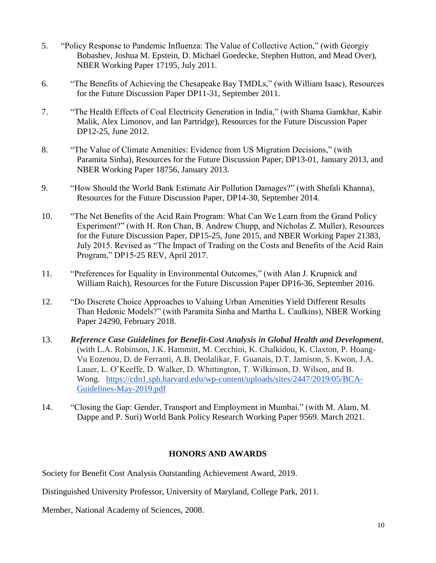- 5. "Policy Response to Pandemic Influenza: The Value of Collective Action," (with Georgiy Bobashev, Joshua M. Epstein, D. Michael Goedecke, Stephen Hutton, and Mead Over), NBER Working Paper 17195, July 2011.
- 6. "The Benefits of Achieving the Chesapeake Bay TMDLs," (with William Isaac), Resources for the Future Discussion Paper DP11-31, September 2011.
- 7. "The Health Effects of Coal Electricity Generation in India," (with Shama Gamkhar, Kabir Malik, Alex Limonov, and Ian Partridge), Resources for the Future Discussion Paper DP12-25, June 2012.
- 8. "The Value of Climate Amenities: Evidence from US Migration Decisions," (with Paramita Sinha), Resources for the Future Discussion Paper, DP13-01, January 2013, and NBER Working Paper 18756, January 2013.
- 9. "How Should the World Bank Estimate Air Pollution Damages?" (with Shefali Khanna), Resources for the Future Discussion Paper, DP14-30, September 2014.
- 10. "The Net Benefits of the Acid Rain Program: What Can We Learn from the Grand Policy Experiment?" (with H. Ron Chan, B. Andrew Chupp, and Nicholas Z. Muller), Resources for the Future Discussion Paper, DP15-25, June 2015, and NBER Working Paper 21383, July 2015. Revised as "The Impact of Trading on the Costs and Benefits of the Acid Rain Program," DP15-25 REV, April 2017.
- 11. "Preferences for Equality in Environmental Outcomes," (with Alan J. Krupnick and William Raich), Resources for the Future Discussion Paper DP16-36, September 2016.
- 12. "Do Discrete Choice Approaches to Valuing Urban Amenities Yield Different Results Than Hedonic Models?" (with Paramita Sinha and Martha L. Caulkins), NBER Working Paper 24290, February 2018.
- 13. *Reference Case Guidelines for Benefit-Cost Analysis in Global Health and Development*, (with L.A. Robinson, J.K. Hammitt, M. Cecchini, K. Chalkidou, K. Claxton, P. Hoang-Vu Eozenou, D. de Ferranti, A.B. Deolalikar, F. Guanais, D.T. Jamison, S. Kwon, J.A. Lauer, L. O'Keeffe, D. Walker, D. Whittington, T. Wilkinson, D. Wilson, and B. Wong. [https://cdn1.sph.harvard.edu/wp-content/uploads/sites/2447/2019/05/BCA-](https://cdn1.sph.harvard.edu/wp-content/uploads/sites/2447/2019/05/BCA-Guidelines-May-2019.pdf)[Guidelines-May-2019.pdf](https://cdn1.sph.harvard.edu/wp-content/uploads/sites/2447/2019/05/BCA-Guidelines-May-2019.pdf)
- 14. "Closing the Gap: Gender, Transport and Employment in Mumbai." (with M. Alam, M. Dappe and P. Suri) World Bank Policy Research Working Paper 9569. March 2021.

## **HONORS AND AWARDS**

Society for Benefit Cost Analysis Outstanding Achievement Award, 2019.

Distinguished University Professor, University of Maryland, College Park, 2011.

Member, National Academy of Sciences, 2008.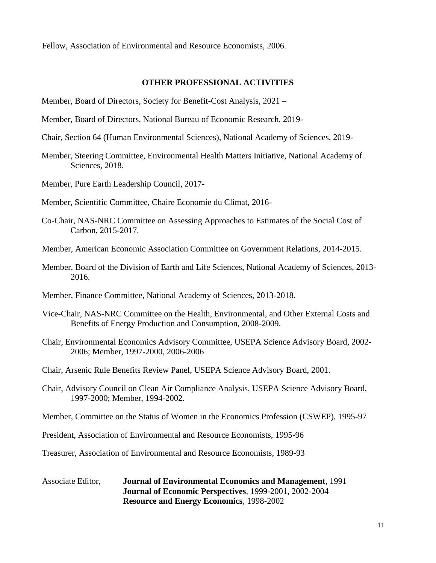Fellow, Association of Environmental and Resource Economists, 2006.

#### **OTHER PROFESSIONAL ACTIVITIES**

- Member, Board of Directors, Society for Benefit-Cost Analysis, 2021 –
- Member, Board of Directors, National Bureau of Economic Research, 2019-
- Chair, Section 64 (Human Environmental Sciences), National Academy of Sciences, 2019-
- Member, Steering Committee, Environmental Health Matters Initiative, National Academy of Sciences, 2018.
- Member, Pure Earth Leadership Council, 2017-

Member, Scientific Committee, Chaire Economie du Climat, 2016-

- Co-Chair, NAS-NRC Committee on Assessing Approaches to Estimates of the Social Cost of Carbon, 2015-2017.
- Member, American Economic Association Committee on Government Relations, 2014-2015.
- Member, Board of the Division of Earth and Life Sciences, National Academy of Sciences, 2013- 2016.
- Member, Finance Committee, National Academy of Sciences, 2013-2018.
- Vice-Chair, NAS-NRC Committee on the Health, Environmental, and Other External Costs and Benefits of Energy Production and Consumption, 2008-2009.
- Chair, Environmental Economics Advisory Committee, USEPA Science Advisory Board, 2002- 2006; Member, 1997-2000, 2006-2006
- Chair, Arsenic Rule Benefits Review Panel, USEPA Science Advisory Board, 2001.
- Chair, Advisory Council on Clean Air Compliance Analysis, USEPA Science Advisory Board, 1997-2000; Member, 1994-2002.
- Member, Committee on the Status of Women in the Economics Profession (CSWEP), 1995-97

President, Association of Environmental and Resource Economists, 1995-96

Treasurer, Association of Environmental and Resource Economists, 1989-93

Associate Editor, **Journal of Environmental Economics and Management**, 1991 **Journal of Economic Perspectives**, 1999-2001, 2002-2004 **Resource and Energy Economics**, 1998-2002